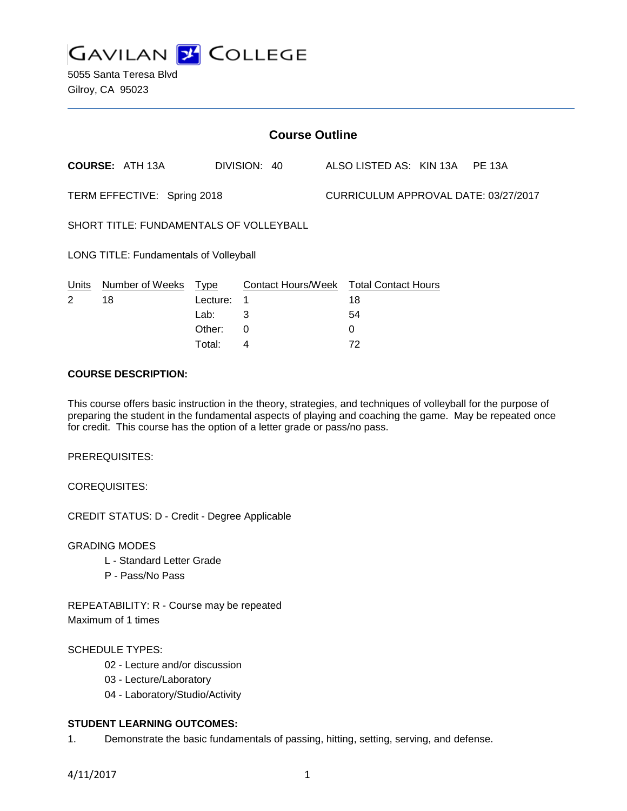

| <b>Course Outline</b>                   |                        |          |                    |  |                                      |  |               |  |
|-----------------------------------------|------------------------|----------|--------------------|--|--------------------------------------|--|---------------|--|
|                                         | <b>COURSE: ATH 13A</b> |          | DIVISION: 40       |  | ALSO LISTED AS: KIN 13A              |  | <b>PE 13A</b> |  |
| TERM EFFECTIVE: Spring 2018             |                        |          |                    |  | CURRICULUM APPROVAL DATE: 03/27/2017 |  |               |  |
| SHORT TITLE: FUNDAMENTALS OF VOLLEYBALL |                        |          |                    |  |                                      |  |               |  |
| LONG TITLE: Fundamentals of Volleyball  |                        |          |                    |  |                                      |  |               |  |
| Units                                   | Number of Weeks        | Type     | Contact Hours/Week |  | <b>Total Contact Hours</b>           |  |               |  |
| 2                                       | 18                     | Lecture: | 1                  |  | 18                                   |  |               |  |
|                                         |                        | Lab:     | 3                  |  | 54                                   |  |               |  |
|                                         |                        | Other:   | 0                  |  | 0                                    |  |               |  |

Total: 4 72

#### **COURSE DESCRIPTION:**

This course offers basic instruction in the theory, strategies, and techniques of volleyball for the purpose of preparing the student in the fundamental aspects of playing and coaching the game. May be repeated once for credit. This course has the option of a letter grade or pass/no pass.

PREREQUISITES:

COREQUISITES:

CREDIT STATUS: D - Credit - Degree Applicable

GRADING MODES

- L Standard Letter Grade
- P Pass/No Pass

REPEATABILITY: R - Course may be repeated Maximum of 1 times

# SCHEDULE TYPES:

- 02 Lecture and/or discussion
- 03 Lecture/Laboratory
- 04 Laboratory/Studio/Activity

# **STUDENT LEARNING OUTCOMES:**

1. Demonstrate the basic fundamentals of passing, hitting, setting, serving, and defense.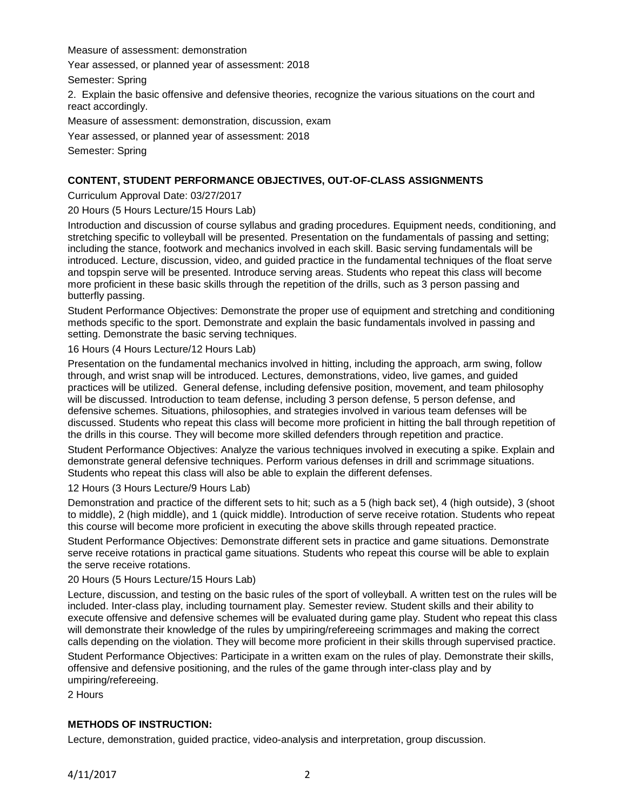Measure of assessment: demonstration

Year assessed, or planned year of assessment: 2018

Semester: Spring

2. Explain the basic offensive and defensive theories, recognize the various situations on the court and react accordingly.

Measure of assessment: demonstration, discussion, exam

Year assessed, or planned year of assessment: 2018

Semester: Spring

# **CONTENT, STUDENT PERFORMANCE OBJECTIVES, OUT-OF-CLASS ASSIGNMENTS**

Curriculum Approval Date: 03/27/2017

20 Hours (5 Hours Lecture/15 Hours Lab)

Introduction and discussion of course syllabus and grading procedures. Equipment needs, conditioning, and stretching specific to volleyball will be presented. Presentation on the fundamentals of passing and setting; including the stance, footwork and mechanics involved in each skill. Basic serving fundamentals will be introduced. Lecture, discussion, video, and guided practice in the fundamental techniques of the float serve and topspin serve will be presented. Introduce serving areas. Students who repeat this class will become more proficient in these basic skills through the repetition of the drills, such as 3 person passing and butterfly passing.

Student Performance Objectives: Demonstrate the proper use of equipment and stretching and conditioning methods specific to the sport. Demonstrate and explain the basic fundamentals involved in passing and setting. Demonstrate the basic serving techniques.

16 Hours (4 Hours Lecture/12 Hours Lab)

Presentation on the fundamental mechanics involved in hitting, including the approach, arm swing, follow through, and wrist snap will be introduced. Lectures, demonstrations, video, live games, and guided practices will be utilized. General defense, including defensive position, movement, and team philosophy will be discussed. Introduction to team defense, including 3 person defense, 5 person defense, and defensive schemes. Situations, philosophies, and strategies involved in various team defenses will be discussed. Students who repeat this class will become more proficient in hitting the ball through repetition of the drills in this course. They will become more skilled defenders through repetition and practice.

Student Performance Objectives: Analyze the various techniques involved in executing a spike. Explain and demonstrate general defensive techniques. Perform various defenses in drill and scrimmage situations. Students who repeat this class will also be able to explain the different defenses.

12 Hours (3 Hours Lecture/9 Hours Lab)

Demonstration and practice of the different sets to hit; such as a 5 (high back set), 4 (high outside), 3 (shoot to middle), 2 (high middle), and 1 (quick middle). Introduction of serve receive rotation. Students who repeat this course will become more proficient in executing the above skills through repeated practice.

Student Performance Objectives: Demonstrate different sets in practice and game situations. Demonstrate serve receive rotations in practical game situations. Students who repeat this course will be able to explain the serve receive rotations.

20 Hours (5 Hours Lecture/15 Hours Lab)

Lecture, discussion, and testing on the basic rules of the sport of volleyball. A written test on the rules will be included. Inter-class play, including tournament play. Semester review. Student skills and their ability to execute offensive and defensive schemes will be evaluated during game play. Student who repeat this class will demonstrate their knowledge of the rules by umpiring/refereeing scrimmages and making the correct calls depending on the violation. They will become more proficient in their skills through supervised practice.

Student Performance Objectives: Participate in a written exam on the rules of play. Demonstrate their skills, offensive and defensive positioning, and the rules of the game through inter-class play and by umpiring/refereeing.

2 Hours

# **METHODS OF INSTRUCTION:**

Lecture, demonstration, guided practice, video-analysis and interpretation, group discussion.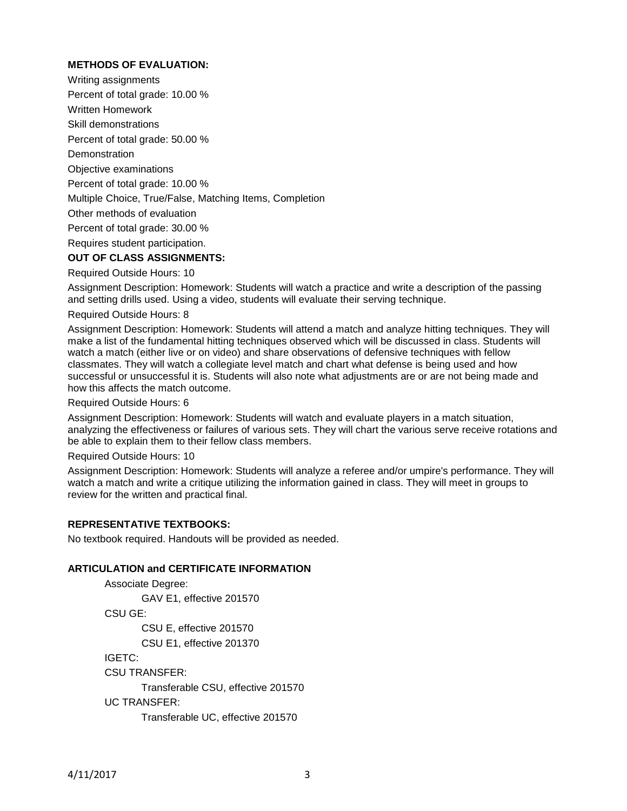# **METHODS OF EVALUATION:**

Writing assignments

Percent of total grade: 10.00 %

Written Homework

Skill demonstrations

Percent of total grade: 50.00 %

**Demonstration** 

Objective examinations

Percent of total grade: 10.00 %

Multiple Choice, True/False, Matching Items, Completion

Other methods of evaluation

Percent of total grade: 30.00 %

Requires student participation.

# **OUT OF CLASS ASSIGNMENTS:**

Required Outside Hours: 10

Assignment Description: Homework: Students will watch a practice and write a description of the passing and setting drills used. Using a video, students will evaluate their serving technique.

Required Outside Hours: 8

Assignment Description: Homework: Students will attend a match and analyze hitting techniques. They will make a list of the fundamental hitting techniques observed which will be discussed in class. Students will watch a match (either live or on video) and share observations of defensive techniques with fellow classmates. They will watch a collegiate level match and chart what defense is being used and how successful or unsuccessful it is. Students will also note what adjustments are or are not being made and how this affects the match outcome.

Required Outside Hours: 6

Assignment Description: Homework: Students will watch and evaluate players in a match situation, analyzing the effectiveness or failures of various sets. They will chart the various serve receive rotations and be able to explain them to their fellow class members.

Required Outside Hours: 10

Assignment Description: Homework: Students will analyze a referee and/or umpire's performance. They will watch a match and write a critique utilizing the information gained in class. They will meet in groups to review for the written and practical final.

# **REPRESENTATIVE TEXTBOOKS:**

No textbook required. Handouts will be provided as needed.

### **ARTICULATION and CERTIFICATE INFORMATION**

Associate Degree: GAV E1, effective 201570 CSU GE: CSU E, effective 201570 CSU E1, effective 201370 IGETC: CSU TRANSFER: Transferable CSU, effective 201570 UC TRANSFER: Transferable UC, effective 201570